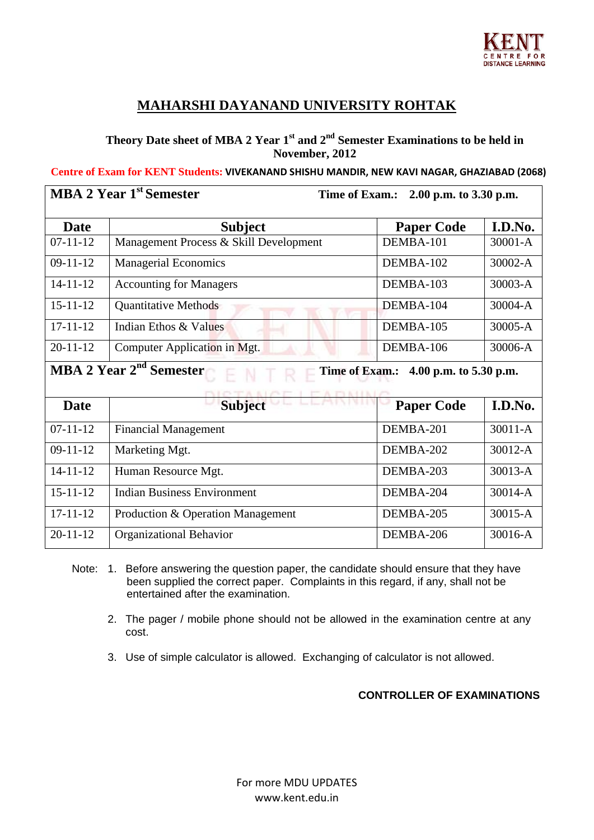

# **MAHARSHI DAYANAND UNIVERSITY ROHTAK**

**Theory Date sheet of MBA 2 Year 1st and 2nd Semester Examinations to be held in November, 2012** 

#### **Centre of Exam for KENT Students: VIVEKANAND SHISHU MANDIR, NEW KAVI NAGAR, GHAZIABAD (2068)**

**MBA 2 Year 1<sup>st</sup> Semester Time of Exam.: 2.00 p.m. to 3.30 p.m.** 

| <b>Date</b>          | <b>Subject</b>                         | <b>Paper Code</b> | I.D.No.     |  |
|----------------------|----------------------------------------|-------------------|-------------|--|
| $07-11-12$           | Management Process & Skill Development | DEMBA-101         | $30001 - A$ |  |
| $09-11-12$           | <b>Managerial Economics</b>            | DEMBA-102         | 30002-A     |  |
| $14 - 11 - 12$       | <b>Accounting for Managers</b>         | DEMBA-103         | 30003-A     |  |
| $15 - 11 - 12$       | <b>Quantitative Methods</b>            | DEMBA-104         | 30004-A     |  |
| $17 - 11 - 12$       | Indian Ethos & Values                  | DEMBA-105         | 30005-A     |  |
| $20 - 11 - 12$       | Computer Application in Mgt.           | DEMBA-106         | 30006-A     |  |
| $\sim$ $\sim$ $\sim$ |                                        |                   |             |  |

# **MBA 2 Year**  $2^{\text{nd}}$  **Semester**  $\text{F}$   $\text{F}$   $\text{F}$   $\text{F}$   $\text{F}$  Time of Exam.: 4.00 p.m. to 5.30 p.m.

| <b>Date</b>    | <b>Subject</b>                     | <b>Paper Code</b> | I.D.No.     |  |
|----------------|------------------------------------|-------------------|-------------|--|
| $07-11-12$     | <b>Financial Management</b>        | DEMBA-201         | $30011 - A$ |  |
| $09-11-12$     | Marketing Mgt.                     | DEMBA-202         | 30012-A     |  |
| $14 - 11 - 12$ | Human Resource Mgt.                | DEMBA-203         | 30013-A     |  |
| $15 - 11 - 12$ | <b>Indian Business Environment</b> | DEMBA-204         | $30014 - A$ |  |
| $17 - 11 - 12$ | Production & Operation Management  | DEMBA-205         | 30015-A     |  |
| $20 - 11 - 12$ | <b>Organizational Behavior</b>     | DEMBA-206         | 30016-A     |  |

- Note: 1. Before answering the question paper, the candidate should ensure that they have been supplied the correct paper. Complaints in this regard, if any, shall not be entertained after the examination.
	- 2. The pager / mobile phone should not be allowed in the examination centre at any cost.
	- 3. Use of simple calculator is allowed. Exchanging of calculator is not allowed.

### **CONTROLLER OF EXAMINATIONS**